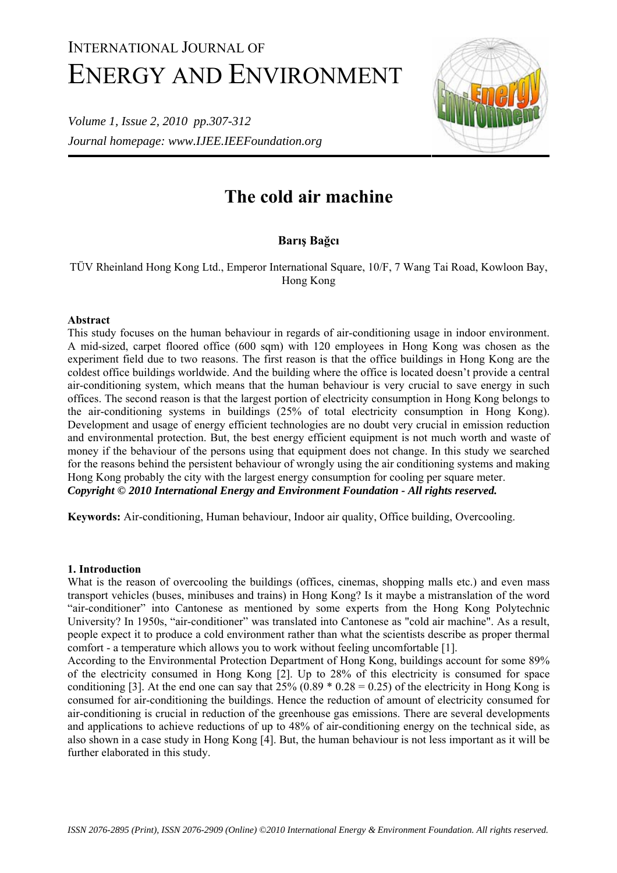# INTERNATIONAL JOURNAL OF ENERGY AND ENVIRONMENT

*Volume 1, Issue 2, 2010 pp.307-312 Journal homepage: www.IJEE.IEEFoundation.org* 



# **The cold air machine**

# **Barış Bağcı**

TÜV Rheinland Hong Kong Ltd., Emperor International Square, 10/F, 7 Wang Tai Road, Kowloon Bay, Hong Kong

# **Abstract**

This study focuses on the human behaviour in regards of air-conditioning usage in indoor environment. A mid-sized, carpet floored office (600 sqm) with 120 employees in Hong Kong was chosen as the experiment field due to two reasons. The first reason is that the office buildings in Hong Kong are the coldest office buildings worldwide. And the building where the office is located doesn't provide a central air-conditioning system, which means that the human behaviour is very crucial to save energy in such offices. The second reason is that the largest portion of electricity consumption in Hong Kong belongs to the air-conditioning systems in buildings (25% of total electricity consumption in Hong Kong). Development and usage of energy efficient technologies are no doubt very crucial in emission reduction and environmental protection. But, the best energy efficient equipment is not much worth and waste of money if the behaviour of the persons using that equipment does not change. In this study we searched for the reasons behind the persistent behaviour of wrongly using the air conditioning systems and making Hong Kong probably the city with the largest energy consumption for cooling per square meter. *Copyright © 2010 International Energy and Environment Foundation - All rights reserved.*

**Keywords:** Air-conditioning, Human behaviour, Indoor air quality, Office building, Overcooling.

# **1. Introduction**

What is the reason of overcooling the buildings (offices, cinemas, shopping malls etc.) and even mass transport vehicles (buses, minibuses and trains) in Hong Kong? Is it maybe a mistranslation of the word "air-conditioner" into Cantonese as mentioned by some experts from the Hong Kong Polytechnic University? In 1950s, "air-conditioner" was translated into Cantonese as "cold air machine". As a result, people expect it to produce a cold environment rather than what the scientists describe as proper thermal comfort - a temperature which allows you to work without feeling uncomfortable [1].

According to the Environmental Protection Department of Hong Kong, buildings account for some 89% of the electricity consumed in Hong Kong [2]. Up to 28% of this electricity is consumed for space conditioning [3]. At the end one can say that  $25\%$  (0.89  $*$  0.28 = 0.25) of the electricity in Hong Kong is consumed for air-conditioning the buildings. Hence the reduction of amount of electricity consumed for air-conditioning is crucial in reduction of the greenhouse gas emissions. There are several developments and applications to achieve reductions of up to 48% of air-conditioning energy on the technical side, as also shown in a case study in Hong Kong [4]. But, the human behaviour is not less important as it will be further elaborated in this study.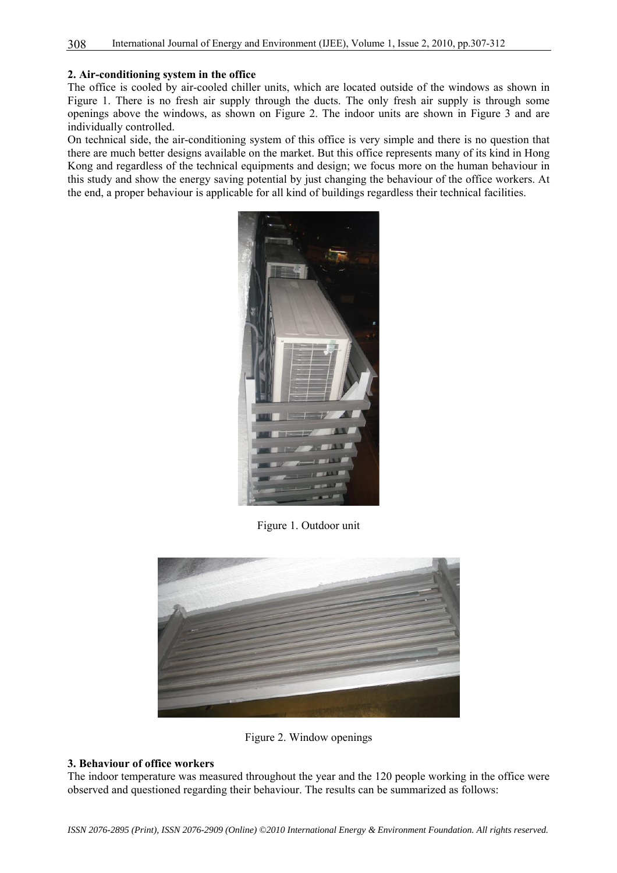#### **2. Air-conditioning system in the office**

The office is cooled by air-cooled chiller units, which are located outside of the windows as shown in Figure 1. There is no fresh air supply through the ducts. The only fresh air supply is through some openings above the windows, as shown on Figure 2. The indoor units are shown in Figure 3 and are individually controlled.

On technical side, the air-conditioning system of this office is very simple and there is no question that there are much better designs available on the market. But this office represents many of its kind in Hong Kong and regardless of the technical equipments and design; we focus more on the human behaviour in this study and show the energy saving potential by just changing the behaviour of the office workers. At the end, a proper behaviour is applicable for all kind of buildings regardless their technical facilities.



Figure 1. Outdoor unit



Figure 2. Window openings

#### **3. Behaviour of office workers**

The indoor temperature was measured throughout the year and the 120 people working in the office were observed and questioned regarding their behaviour. The results can be summarized as follows: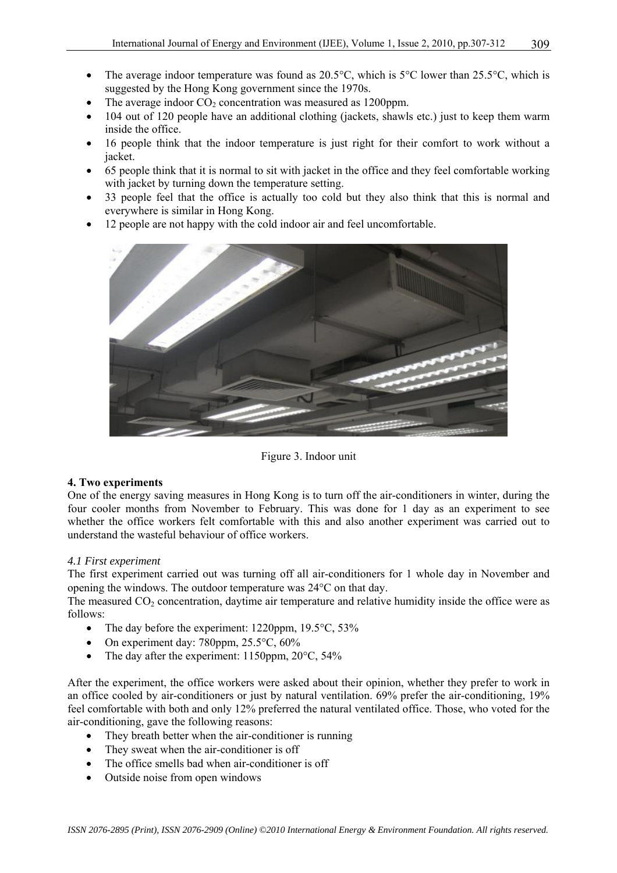- The average indoor temperature was found as  $20.5^{\circ}$ C, which is  $5^{\circ}$ C lower than  $25.5^{\circ}$ C, which is suggested by the Hong Kong government since the 1970s.
- The average indoor  $CO<sub>2</sub>$  concentration was measured as 1200ppm.
- 104 out of 120 people have an additional clothing (jackets, shawls etc.) just to keep them warm inside the office.
- 16 people think that the indoor temperature is just right for their comfort to work without a jacket.
- 65 people think that it is normal to sit with jacket in the office and they feel comfortable working with jacket by turning down the temperature setting.
- 33 people feel that the office is actually too cold but they also think that this is normal and everywhere is similar in Hong Kong.
- 12 people are not happy with the cold indoor air and feel uncomfortable.



Figure 3. Indoor unit

# **4. Two experiments**

One of the energy saving measures in Hong Kong is to turn off the air-conditioners in winter, during the four cooler months from November to February. This was done for 1 day as an experiment to see whether the office workers felt comfortable with this and also another experiment was carried out to understand the wasteful behaviour of office workers.

# *4.1 First experiment*

The first experiment carried out was turning off all air-conditioners for 1 whole day in November and opening the windows. The outdoor temperature was 24°C on that day.

The measured  $CO<sub>2</sub>$  concentration, daytime air temperature and relative humidity inside the office were as follows:

- The day before the experiment: 1220ppm, 19.5 °C, 53%
- On experiment day:  $780$ ppm,  $25.5^{\circ}$ C,  $60\%$
- The day after the experiment: 1150ppm, 20°C, 54%

After the experiment, the office workers were asked about their opinion, whether they prefer to work in an office cooled by air-conditioners or just by natural ventilation. 69% prefer the air-conditioning, 19% feel comfortable with both and only 12% preferred the natural ventilated office. Those, who voted for the air-conditioning, gave the following reasons:

- They breath better when the air-conditioner is running
- They sweat when the air-conditioner is off
- The office smells bad when air-conditioner is off
- Outside noise from open windows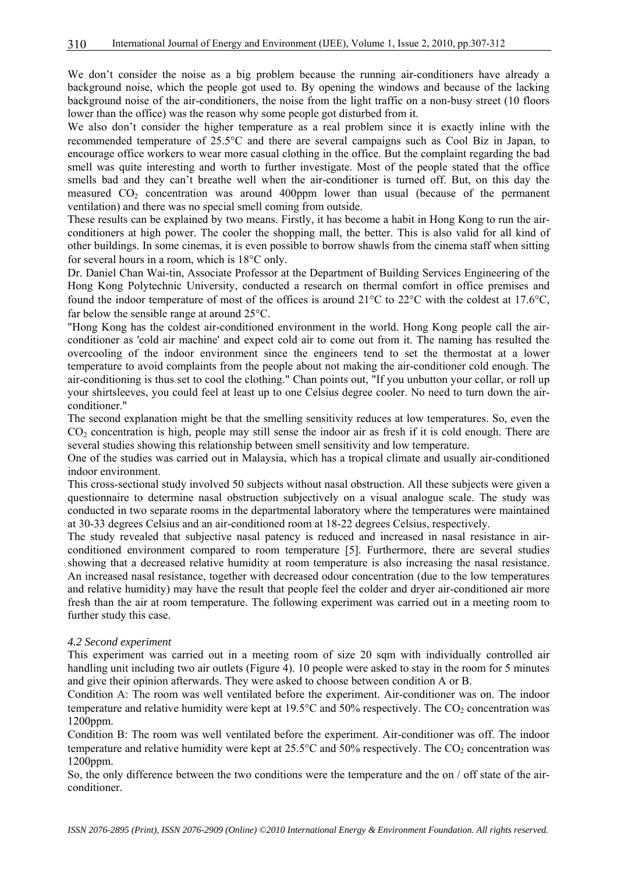We don't consider the noise as a big problem because the running air-conditioners have already a background noise, which the people got used to. By opening the windows and because of the lacking background noise of the air-conditioners, the noise from the light traffic on a non-busy street (10 floors lower than the office) was the reason why some people got disturbed from it.

We also don't consider the higher temperature as a real problem since it is exactly inline with the recommended temperature of 25.5°C and there are several campaigns such as Cool Biz in Japan, to encourage office workers to wear more casual clothing in the office. But the complaint regarding the bad smell was quite interesting and worth to further investigate. Most of the people stated that the office smells bad and they can't breathe well when the air-conditioner is turned off. But, on this day the measured  $CO<sub>2</sub>$  concentration was around 400ppm lower than usual (because of the permanent ventilation) and there was no special smell coming from outside.

These results can be explained by two means. Firstly, it has become a habit in Hong Kong to run the airconditioners at high power. The cooler the shopping mall, the better. This is also valid for all kind of other buildings. In some cinemas, it is even possible to borrow shawls from the cinema staff when sitting for several hours in a room, which is 18°C only.

Dr. Daniel Chan Wai-tin, Associate Professor at the Department of Building Services Engineering of the Hong Kong Polytechnic University, conducted a research on thermal comfort in office premises and found the indoor temperature of most of the offices is around 21°C to 22°C with the coldest at 17.6°C, far below the sensible range at around 25°C.

"Hong Kong has the coldest air-conditioned environment in the world. Hong Kong people call the airconditioner as 'cold air machine' and expect cold air to come out from it. The naming has resulted the overcooling of the indoor environment since the engineers tend to set the thermostat at a lower temperature to avoid complaints from the people about not making the air-conditioner cold enough. The air-conditioning is thus set to cool the clothing." Chan points out, "If you unbutton your collar, or roll up your shirtsleeves, you could feel at least up to one Celsius degree cooler. No need to turn down the airconditioner."

The second explanation might be that the smelling sensitivity reduces at low temperatures. So, even the  $CO<sub>2</sub>$  concentration is high, people may still sense the indoor air as fresh if it is cold enough. There are several studies showing this relationship between smell sensitivity and low temperature.

One of the studies was carried out in Malaysia, which has a tropical climate and usually air-conditioned indoor environment.

This cross-sectional study involved 50 subjects without nasal obstruction. All these subjects were given a questionnaire to determine nasal obstruction subjectively on a visual analogue scale. The study was conducted in two separate rooms in the departmental laboratory where the temperatures were maintained at 30-33 degrees Celsius and an air-conditioned room at 18-22 degrees Celsius, respectively.

The study revealed that subjective nasal patency is reduced and increased in nasal resistance in airconditioned environment compared to room temperature [5]. Furthermore, there are several studies showing that a decreased relative humidity at room temperature is also increasing the nasal resistance. An increased nasal resistance, together with decreased odour concentration (due to the low temperatures and relative humidity) may have the result that people feel the colder and dryer air-conditioned air more fresh than the air at room temperature. The following experiment was carried out in a meeting room to further study this case.

#### *4.2 Second experiment*

This experiment was carried out in a meeting room of size 20 sqm with individually controlled air handling unit including two air outlets (Figure 4). 10 people were asked to stay in the room for 5 minutes and give their opinion afterwards. They were asked to choose between condition A or B.

Condition A: The room was well ventilated before the experiment. Air-conditioner was on. The indoor temperature and relative humidity were kept at  $19.5^{\circ}$ C and  $50\%$  respectively. The CO<sub>2</sub> concentration was 1200ppm.

Condition B: The room was well ventilated before the experiment. Air-conditioner was off. The indoor temperature and relative humidity were kept at  $25.5^{\circ}$ C and  $50\%$  respectively. The CO<sub>2</sub> concentration was 1200ppm.

So, the only difference between the two conditions were the temperature and the on / off state of the airconditioner.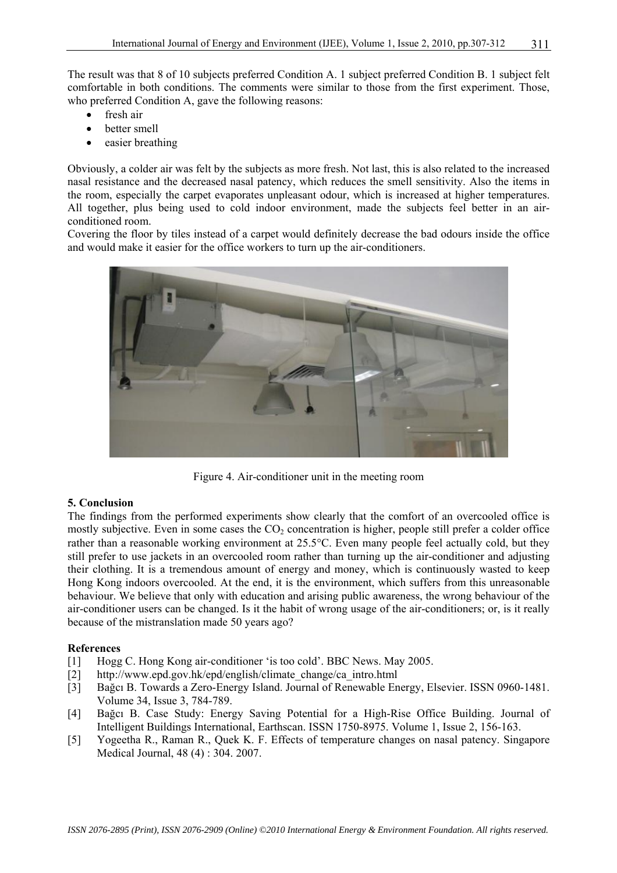The result was that 8 of 10 subjects preferred Condition A. 1 subject preferred Condition B. 1 subject felt comfortable in both conditions. The comments were similar to those from the first experiment. Those, who preferred Condition A, gave the following reasons:

- fresh air
- better smell
- easier breathing

Obviously, a colder air was felt by the subjects as more fresh. Not last, this is also related to the increased nasal resistance and the decreased nasal patency, which reduces the smell sensitivity. Also the items in the room, especially the carpet evaporates unpleasant odour, which is increased at higher temperatures. All together, plus being used to cold indoor environment, made the subjects feel better in an airconditioned room.

Covering the floor by tiles instead of a carpet would definitely decrease the bad odours inside the office and would make it easier for the office workers to turn up the air-conditioners.



Figure 4. Air-conditioner unit in the meeting room

# **5. Conclusion**

The findings from the performed experiments show clearly that the comfort of an overcooled office is mostly subjective. Even in some cases the  $CO<sub>2</sub>$  concentration is higher, people still prefer a colder office rather than a reasonable working environment at 25.5°C. Even many people feel actually cold, but they still prefer to use jackets in an overcooled room rather than turning up the air-conditioner and adjusting their clothing. It is a tremendous amount of energy and money, which is continuously wasted to keep Hong Kong indoors overcooled. At the end, it is the environment, which suffers from this unreasonable behaviour. We believe that only with education and arising public awareness, the wrong behaviour of the air-conditioner users can be changed. Is it the habit of wrong usage of the air-conditioners; or, is it really because of the mistranslation made 50 years ago?

# **References**

- [1] Hogg C. Hong Kong air-conditioner 'is too cold'. BBC News. May 2005.
- [2] http://www.epd.gov.hk/epd/english/climate\_change/ca\_intro.html
- [3] Bağcı B. Towards a Zero-Energy Island. Journal of Renewable Energy, Elsevier. ISSN 0960-1481. Volume 34, Issue 3, 784-789.
- [4] Bağcı B. Case Study: Energy Saving Potential for a High-Rise Office Building. Journal of Intelligent Buildings International, Earthscan. ISSN 1750-8975. Volume 1, Issue 2, 156-163.
- [5] Yogeetha R., Raman R., Quek K. F. Effects of temperature changes on nasal patency. Singapore Medical Journal, 48 (4) : 304. 2007.